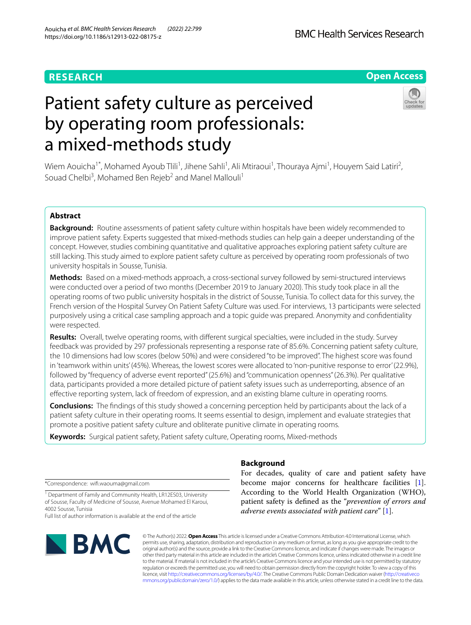# **RESEARCH**

# **Open Access**

# Patient safety culture as perceived by operating room professionals: a mixed-methods study



Wiem Aouicha<sup>1\*</sup>, Mohamed Ayoub Tlili<sup>1</sup>, Jihene Sahli<sup>1</sup>, Ali Mtiraoui<sup>1</sup>, Thouraya Ajmi<sup>1</sup>, Houyem Said Latiri<sup>2</sup>, Souad Chelbi<sup>3</sup>, Mohamed Ben Rejeb<sup>2</sup> and Manel Mallouli<sup>1</sup>

# **Abstract**

**Background:** Routine assessments of patient safety culture within hospitals have been widely recommended to improve patient safety. Experts suggested that mixed-methods studies can help gain a deeper understanding of the concept. However, studies combining quantitative and qualitative approaches exploring patient safety culture are still lacking. This study aimed to explore patient safety culture as perceived by operating room professionals of two university hospitals in Sousse, Tunisia.

**Methods:** Based on a mixed-methods approach, a cross-sectional survey followed by semi-structured interviews were conducted over a period of two months (December 2019 to January 2020). This study took place in all the operating rooms of two public university hospitals in the district of Sousse, Tunisia. To collect data for this survey, the French version of the Hospital Survey On Patient Safety Culture was used. For interviews, 13 participants were selected purposively using a critical case sampling approach and a topic guide was prepared. Anonymity and confdentiality were respected.

**Results:** Overall, twelve operating rooms, with diferent surgical specialties, were included in the study. Survey feedback was provided by 297 professionals representing a response rate of 85.6%. Concerning patient safety culture, the 10 dimensions had low scores (below 50%) and were considered "to be improved". The highest score was found in 'teamwork within units' (45%). Whereas, the lowest scores were allocated to 'non-punitive response to error' (22.9%), followed by "frequency of adverse event reported" (25.6%) and "communication openness" (26.3%). Per qualitative data, participants provided a more detailed picture of patient safety issues such as underreporting, absence of an efective reporting system, lack of freedom of expression, and an existing blame culture in operating rooms.

**Conclusions:** The fndings of this study showed a concerning perception held by participants about the lack of a patient safety culture in their operating rooms. It seems essential to design, implement and evaluate strategies that promote a positive patient safety culture and obliterate punitive climate in operating rooms.

**Keywords:** Surgical patient safety, Patient safety culture, Operating rooms, Mixed-methods

# **Background**

\*Correspondence: wif.waouma@gmail.com

<sup>1</sup> Department of Family and Community Health, LR12ES03, University of Sousse, Faculty of Medicine of Sousse, Avenue Mohamed El Karoui, 4002 Sousse, Tunisia

Full list of author information is available at the end of the article



© The Author(s) 2022. **Open Access** This article is licensed under a Creative Commons Attribution 4.0 International License, which permits use, sharing, adaptation, distribution and reproduction in any medium or format, as long as you give appropriate credit to the original author(s) and the source, provide a link to the Creative Commons licence, and indicate if changes were made. The images or other third party material in this article are included in the article's Creative Commons licence, unless indicated otherwise in a credit line to the material. If material is not included in the article's Creative Commons licence and your intended use is not permitted by statutory regulation or exceeds the permitted use, you will need to obtain permission directly from the copyright holder. To view a copy of this licence, visit [http://creativecommons.org/licenses/by/4.0/.](http://creativecommons.org/licenses/by/4.0/) The Creative Commons Public Domain Dedication waiver ([http://creativeco](http://creativecommons.org/publicdomain/zero/1.0/) [mmons.org/publicdomain/zero/1.0/](http://creativecommons.org/publicdomain/zero/1.0/)) applies to the data made available in this article, unless otherwise stated in a credit line to the data.

become major concerns for healthcare facilities [\[1](#page-10-0)]. According to the World Health Organization (WHO), patient safety is defned as the "*prevention of errors and* 

*adverse events associated with patient care*" [\[1](#page-10-0)].

For decades, quality of care and patient safety have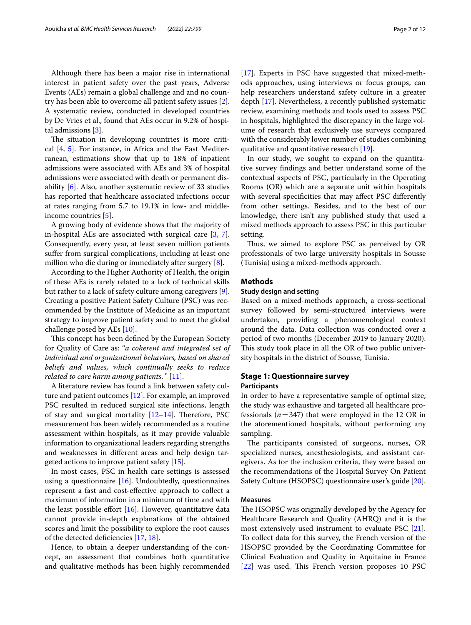Although there has been a major rise in international interest in patient safety over the past years, Adverse Events (AEs) remain a global challenge and and no country has been able to overcome all patient safety issues [\[2](#page-10-1)]. A systematic review, conducted in developed countries by De Vries et al., found that AEs occur in 9.2% of hospital admissions [\[3](#page-10-2)].

The situation in developing countries is more critical [\[4,](#page-10-3) [5\]](#page-10-4). For instance, in Africa and the East Mediterranean, estimations show that up to 18% of inpatient admissions were associated with AEs and 3% of hospital admissions were associated with death or permanent disability [\[6](#page-10-5)]. Also, another systematic review of 33 studies has reported that healthcare associated infections occur at rates ranging from 5.7 to 19.1% in low- and middleincome countries [[5\]](#page-10-4).

A growing body of evidence shows that the majority of in-hospital AEs are associated with surgical care  $[3, 7]$  $[3, 7]$  $[3, 7]$  $[3, 7]$ . Consequently, every year, at least seven million patients suffer from surgical complications, including at least one million who die during or immediately after surgery [[8](#page-10-7)].

According to the Higher Authority of Health, the origin of these AEs is rarely related to a lack of technical skills but rather to a lack of safety culture among caregivers [\[9](#page-10-8)]. Creating a positive Patient Safety Culture (PSC) was recommended by the Institute of Medicine as an important strategy to improve patient safety and to meet the global challenge posed by AEs [[10\]](#page-10-9).

This concept has been defined by the European Society for Quality of Care as: "*a coherent and integrated set of individual and organizational behaviors, based on shared beliefs and values, which continually seeks to reduce related to care harm among patients*. " [\[11](#page-10-10)].

A literature review has found a link between safety culture and patient outcomes [\[12\]](#page-10-11). For example, an improved PSC resulted in reduced surgical site infections, length of stay and surgical mortality  $[12-14]$  $[12-14]$ . Therefore, PSC measurement has been widely recommended as a routine assessment within hospitals, as it may provide valuable information to organizational leaders regarding strengths and weaknesses in diferent areas and help design targeted actions to improve patient safety [\[15](#page-10-13)].

In most cases, PSC in health care settings is assessed using a questionnaire  $[16]$ . Undoubtedly, questionnaires represent a fast and cost-efective approach to collect a maximum of information in a minimum of time and with the least possible effort  $[16]$  $[16]$ . However, quantitative data cannot provide in-depth explanations of the obtained scores and limit the possibility to explore the root causes of the detected defciencies [[17,](#page-10-15) [18](#page-10-16)].

Hence, to obtain a deeper understanding of the concept, an assessment that combines both quantitative and qualitative methods has been highly recommended [[17\]](#page-10-15). Experts in PSC have suggested that mixed-methods approaches, using interviews or focus groups, can help researchers understand safety culture in a greater depth [\[17](#page-10-15)]. Nevertheless, a recently published systematic review, examining methods and tools used to assess PSC in hospitals, highlighted the discrepancy in the large volume of research that exclusively use surveys compared with the considerably lower number of studies combining

In our study, we sought to expand on the quantitative survey fndings and better understand some of the contextual aspects of PSC, particularly in the Operating Rooms (OR) which are a separate unit within hospitals with several specificities that may affect PSC differently from other settings. Besides, and to the best of our knowledge, there isn't any published study that used a mixed methods approach to assess PSC in this particular setting.

qualitative and quantitative research [[19](#page-10-17)].

Thus, we aimed to explore PSC as perceived by OR professionals of two large university hospitals in Sousse (Tunisia) using a mixed-methods approach.

#### **Methods**

## **Study design and setting**

Based on a mixed-methods approach, a cross-sectional survey followed by semi-structured interviews were undertaken, providing a phenomenological context around the data. Data collection was conducted over a period of two months (December 2019 to January 2020). This study took place in all the OR of two public university hospitals in the district of Sousse, Tunisia.

# **Stage 1: Questionnaire survey Participants**

In order to have a representative sample of optimal size, the study was exhaustive and targeted all healthcare professionals (*n*=347) that were employed in the 12 OR in the aforementioned hospitals, without performing any sampling.

The participants consisted of surgeons, nurses, OR specialized nurses, anesthesiologists, and assistant caregivers. As for the inclusion criteria, they were based on the recommendations of the Hospital Survey On Patient Safety Culture (HSOPSC) questionnaire user's guide [\[20](#page-10-18)].

# **Measures**

The HSOPSC was originally developed by the Agency for Healthcare Research and Quality (AHRQ) and it is the most extensively used instrument to evaluate PSC [\[21](#page-10-19)]. To collect data for this survey, the French version of the HSOPSC provided by the Coordinating Committee for Clinical Evaluation and Quality in Aquitaine in France [[22\]](#page-10-20) was used. This French version proposes 10 PSC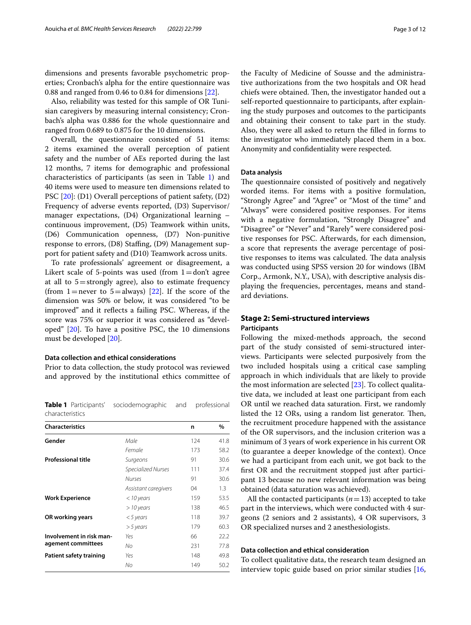dimensions and presents favorable psychometric properties; Cronbach's alpha for the entire questionnaire was 0.88 and ranged from 0.46 to 0.84 for dimensions [\[22\]](#page-10-20).

Also, reliability was tested for this sample of OR Tunisian caregivers by measuring internal consistency; Cronbach's alpha was 0.886 for the whole questionnaire and ranged from 0.689 to 0.875 for the 10 dimensions.

Overall, the questionnaire consisted of 51 items: 2 items examined the overall perception of patient safety and the number of AEs reported during the last 12 months, 7 items for demographic and professional characteristics of participants (as seen in Table [1\)](#page-2-0) and 40 items were used to measure ten dimensions related to PSC [[20\]](#page-10-18): (D1) Overall perceptions of patient safety, (D2) Frequency of adverse events reported, (D3) Supervisor/ manager expectations, (D4) Organizational learning – continuous improvement, (D5) Teamwork within units, (D6) Communication openness, (D7) Non-punitive response to errors, (D8) Staffing, (D9) Management support for patient safety and (D10) Teamwork across units.

To rate professionals' agreement or disagreement, a Likert scale of 5-points was used (from  $1=$ don't agree at all to  $5 =$ strongly agree), also to estimate frequency (from 1=never to 5=always) [[22\]](#page-10-20). If the score of the dimension was 50% or below, it was considered "to be improved" and it refects a failing PSC. Whereas, if the score was 75% or superior it was considered as "developed" [[20\]](#page-10-18). To have a positive PSC, the 10 dimensions must be developed [[20\]](#page-10-18).

## **Data collection and ethical considerations**

Prior to data collection, the study protocol was reviewed and approved by the institutional ethics committee of

<span id="page-2-0"></span>**Table 1** Participants' sociodemographic and professional characteristics

| <b>Characteristics</b>    |                           | n   | %    |
|---------------------------|---------------------------|-----|------|
| Gender                    | Male                      | 124 | 41.8 |
|                           | Female                    | 173 | 58.2 |
| <b>Professional title</b> | Surgeons                  | 91  | 30.6 |
|                           | <b>Specialized Nurses</b> | 111 | 37.4 |
|                           | <b>Nurses</b>             | 91  | 30.6 |
|                           | Assistant caregivers      | 04  | 1.3  |
| <b>Work Experience</b>    | $<$ 10 years              | 159 | 53.5 |
|                           | $>$ 10 years              | 138 | 46.5 |
| OR working years          | $<$ 5 years               | 118 | 39.7 |
|                           | $>$ 5 years               | 179 | 60.3 |
| Involvement in risk man-  | Yes                       | 66  | 22.2 |
| agement committees        | No                        | 231 | 77.8 |
| Patient safety training   | Yes                       | 148 | 49.8 |
|                           | No                        | 149 | 50.2 |

the Faculty of Medicine of Sousse and the administrative authorizations from the two hospitals and OR head chiefs were obtained. Then, the investigator handed out a self-reported questionnaire to participants, after explaining the study purposes and outcomes to the participants and obtaining their consent to take part in the study. Also, they were all asked to return the flled in forms to the investigator who immediately placed them in a box. Anonymity and confdentiality were respected.

#### **Data analysis**

The questionnaire consisted of positively and negatively worded items. For items with a positive formulation, "Strongly Agree" and "Agree" or "Most of the time" and "Always" were considered positive responses. For items with a negative formulation, "Strongly Disagree" and "Disagree" or "Never" and "Rarely" were considered positive responses for PSC. Afterwards, for each dimension, a score that represents the average percentage of positive responses to items was calculated. The data analysis was conducted using SPSS version 20 for windows (IBM Corp., Armonk, N.Y., USA), with descriptive analysis displaying the frequencies, percentages, means and standard deviations.

# **Stage 2: Semi‑structured interviews Participants**

Following the mixed-methods approach, the second part of the study consisted of semi-structured interviews. Participants were selected purposively from the two included hospitals using a critical case sampling approach in which individuals that are likely to provide the most information are selected [\[23](#page-10-21)]. To collect qualitative data, we included at least one participant from each OR until we reached data saturation. First, we randomly listed the 12 ORs, using a random list generator. Then, the recruitment procedure happened with the assistance of the OR supervisors, and the inclusion criterion was a minimum of 3 years of work experience in his current OR (to guarantee a deeper knowledge of the context). Once we had a participant from each unit, we got back to the frst OR and the recruitment stopped just after participant 13 because no new relevant information was being obtained (data saturation was achieved).

All the contacted participants  $(n=13)$  accepted to take part in the interviews, which were conducted with 4 surgeons (2 seniors and 2 assistants), 4 OR supervisors, 3 OR specialized nurses and 2 anesthesiologists.

#### **Data collection and ethical consideration**

To collect qualitative data, the research team designed an interview topic guide based on prior similar studies [[16](#page-10-14),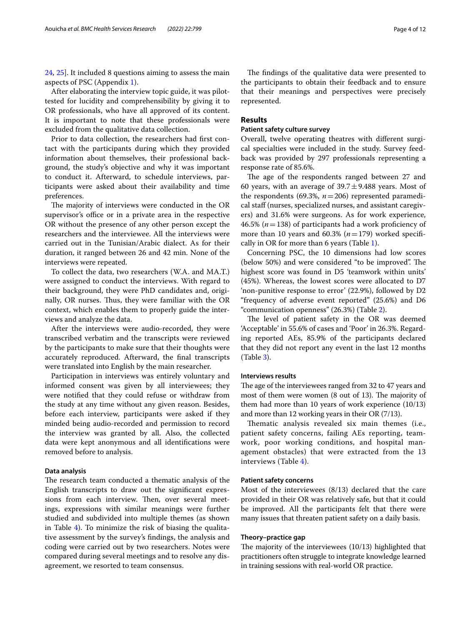[24,](#page-10-22) [25](#page-10-23)]. It included 8 questions aiming to assess the main aspects of PSC (Appendix [1\)](#page-9-0).

After elaborating the interview topic guide, it was pilottested for lucidity and comprehensibility by giving it to OR professionals, who have all approved of its content. It is important to note that these professionals were excluded from the qualitative data collection.

Prior to data collection, the researchers had frst contact with the participants during which they provided information about themselves, their professional background, the study's objective and why it was important to conduct it. Afterward, to schedule interviews, participants were asked about their availability and time preferences.

The majority of interviews were conducted in the OR supervisor's office or in a private area in the respective OR without the presence of any other person except the researchers and the interviewee. All the interviews were carried out in the Tunisian/Arabic dialect. As for their duration, it ranged between 26 and 42 min. None of the interviews were repeated.

To collect the data, two researchers (W.A. and MA.T.) were assigned to conduct the interviews. With regard to their background, they were PhD candidates and, originally, OR nurses. Thus, they were familiar with the OR context, which enables them to properly guide the interviews and analyze the data.

After the interviews were audio-recorded, they were transcribed verbatim and the transcripts were reviewed by the participants to make sure that their thoughts were accurately reproduced. Afterward, the fnal transcripts were translated into English by the main researcher.

Participation in interviews was entirely voluntary and informed consent was given by all interviewees; they were notifed that they could refuse or withdraw from the study at any time without any given reason. Besides, before each interview, participants were asked if they minded being audio-recorded and permission to record the interview was granted by all. Also, the collected data were kept anonymous and all identifcations were removed before to analysis.

#### **Data analysis**

The research team conducted a thematic analysis of the English transcripts to draw out the signifcant expressions from each interview. Then, over several meetings, expressions with similar meanings were further studied and subdivided into multiple themes (as shown in Table [4\)](#page-5-0). To minimize the risk of biasing the qualitative assessment by the survey's fndings, the analysis and coding were carried out by two researchers. Notes were compared during several meetings and to resolve any disagreement, we resorted to team consensus.

The findings of the qualitative data were presented to the participants to obtain their feedback and to ensure that their meanings and perspectives were precisely represented.

# **Results**

## **Patient safety culture survey**

Overall, twelve operating theatres with diferent surgical specialties were included in the study. Survey feedback was provided by 297 professionals representing a response rate of 85.6%.

The age of the respondents ranged between 27 and 60 years, with an average of  $39.7 \pm 9.488$  years. Most of the respondents (69.3%, *n*=206) represented paramedical staff (nurses, specialized nurses, and assistant caregivers) and 31.6% were surgeons. As for work experience, 46.5% (*n*=138) of participants had a work profciency of more than 10 years and 60.3%  $(n=179)$  worked specifically in OR for more than 6 years (Table [1](#page-2-0)).

Concerning PSC, the 10 dimensions had low scores (below 50%) and were considered "to be improved". The highest score was found in D5 'teamwork within units' (45%). Whereas, the lowest scores were allocated to D7 'non-punitive response to error' (22.9%), followed by D2 "frequency of adverse event reported" (25.6%) and D6 "communication openness" (26.3%) (Table [2\)](#page-4-0).

The level of patient safety in the OR was deemed 'Acceptable' in 55.6% of cases and 'Poor' in 26.3%. Regarding reported AEs, 85.9% of the participants declared that they did not report any event in the last 12 months (Table [3\)](#page-5-1).

## **Interviews results**

The age of the interviewees ranged from 32 to 47 years and most of them were women  $(8 \text{ out of } 13)$ . The majority of them had more than 10 years of work experience (10/13) and more than 12 working years in their OR (7/13).

Thematic analysis revealed six main themes (i.e., patient safety concerns, failing AEs reporting, teamwork, poor working conditions, and hospital management obstacles) that were extracted from the 13 interviews (Table [4](#page-5-0)).

#### **Patient safety concerns**

Most of the interviewees (8/13) declared that the care provided in their OR was relatively safe, but that it could be improved. All the participants felt that there were many issues that threaten patient safety on a daily basis.

## **Theory–practice gap**

The majority of the interviewees  $(10/13)$  highlighted that practitioners often struggle to integrate knowledge learned in training sessions with real-world OR practice.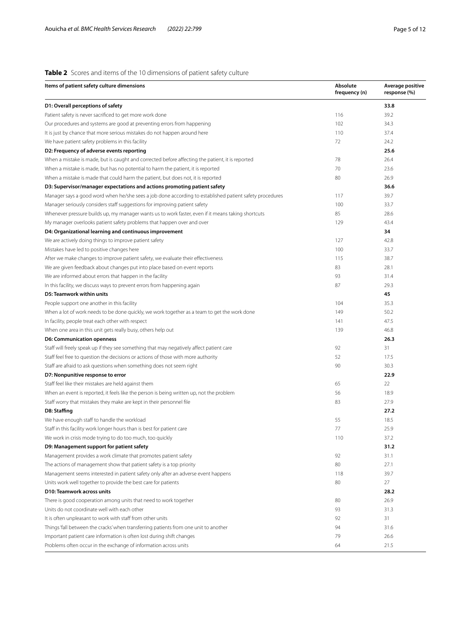# <span id="page-4-0"></span>**Table 2** Scores and items of the 10 dimensions of patient safety culture

| Items of patient safety culture dimensions                                                              | Absolute<br>frequency (n) | Average positive<br>response (%) |
|---------------------------------------------------------------------------------------------------------|---------------------------|----------------------------------|
| D1: Overall perceptions of safety                                                                       |                           | 33.8                             |
| Patient safety is never sacrificed to get more work done                                                | 116                       | 39.2                             |
| Our procedures and systems are good at preventing errors from happening                                 | 102                       | 34.3                             |
| It is just by chance that more serious mistakes do not happen around here                               | 110                       | 37.4                             |
| We have patient safety problems in this facility                                                        | 72                        | 24.2                             |
| D2: Frequency of adverse events reporting                                                               |                           | 25.6                             |
| When a mistake is made, but is caught and corrected before affecting the patient, it is reported        | 78                        | 26.4                             |
| When a mistake is made, but has no potential to harm the patient, it is reported                        | 70                        | 23.6                             |
| When a mistake is made that could harm the patient, but does not, it is reported                        | 80                        | 26.9                             |
| D3: Supervisor/manager expectations and actions promoting patient safety                                |                           | 36.6                             |
| Manager says a good word when he/she sees a job done according to established patient safety procedures | 117                       | 39.7                             |
| Manager seriously considers staff suggestions for improving patient safety                              | 100                       | 33.7                             |
| Whenever pressure builds up, my manager wants us to work faster, even if it means taking shortcuts      | 85                        | 28.6                             |
| My manager overlooks patient safety problems that happen over and over                                  | 129                       | 43.4                             |
| D4: Organizational learning and continuous improvement                                                  |                           | 34                               |
| We are actively doing things to improve patient safety                                                  | 127                       | 42.8                             |
| Mistakes have led to positive changes here                                                              | 100                       | 33.7                             |
| After we make changes to improve patient safety, we evaluate their effectiveness                        | 115                       | 38.7                             |
| We are given feedback about changes put into place based on event reports                               | 83                        | 28.1                             |
| We are informed about errors that happen in the facility                                                | 93                        | 31.4                             |
| In this facility, we discuss ways to prevent errors from happening again                                | 87                        | 29.3                             |
| D5: Teamwork within units                                                                               |                           | 45                               |
| People support one another in this facility                                                             | 104                       | 35.3                             |
| When a lot of work needs to be done quickly, we work together as a team to get the work done            | 149                       | 50.2                             |
| In facility, people treat each other with respect                                                       | 141                       | 47.5                             |
| When one area in this unit gets really busy, others help out                                            | 139                       | 46.8                             |
| <b>D6: Communication openness</b>                                                                       |                           | 26.3                             |
| Staff will freely speak up if they see something that may negatively affect patient care                | 92                        | 31                               |
| Staff feel free to question the decisions or actions of those with more authority                       | 52                        | 17.5                             |
| Staff are afraid to ask questions when something does not seem right                                    | 90                        | 30.3                             |
| D7: Nonpunitive response to error                                                                       |                           | 22.9                             |
| Staff feel like their mistakes are held against them                                                    | 65                        | 22                               |
| When an event is reported, it feels like the person is being written up, not the problem                | 56                        | 18.9                             |
| Staff worry that mistakes they make are kept in their personnel file                                    | 83                        | 27.9                             |
| D8: Staffing                                                                                            |                           | 27.2                             |
| We have enough staff to handle the workload                                                             | 55                        | 18.5                             |
| Staff in this facility work longer hours than is best for patient care                                  | 77                        | 25.9                             |
| We work in crisis mode trying to do too much, too quickly                                               | 110                       | 37.2                             |
| D9: Management support for patient safety                                                               |                           | 31.2                             |
| Management provides a work climate that promotes patient safety                                         | 92                        | 31.1                             |
| The actions of management show that patient safety is a top priority                                    | 80                        | 27.1                             |
| Management seems interested in patient safety only after an adverse event happens                       | 118                       | 39.7                             |
| Units work well together to provide the best care for patients                                          | 80                        | 27                               |
| D10: Teamwork across units                                                                              |                           | 28.2                             |
| There is good cooperation among units that need to work together                                        | 80                        | 26.9                             |
| Units do not coordinate well with each other                                                            | 93                        | 31.3                             |
| It is often unpleasant to work with staff from other units                                              | 92                        | 31                               |
| Things 'fall between the cracks' when transferring patients from one unit to another                    | 94                        | 31.6                             |
| Important patient care information is often lost during shift changes                                   | 79                        | 26.6                             |
| Problems often occur in the exchange of information across units                                        | 64                        | 21.5                             |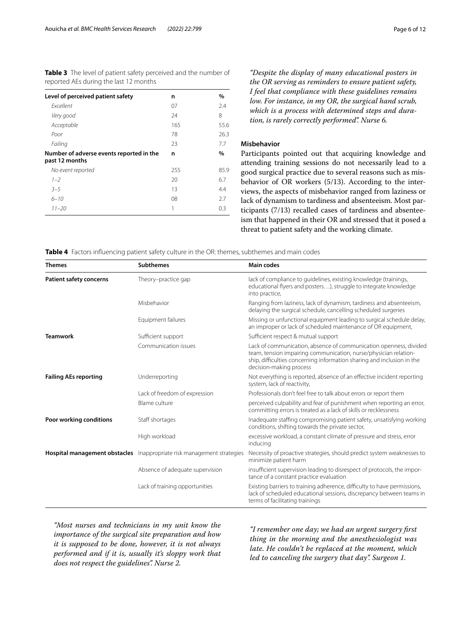<span id="page-5-1"></span>**Table 3** The level of patient safety perceived and the number of reported AEs during the last 12 months

| Level of perceived patient safety                          | n   | %    |
|------------------------------------------------------------|-----|------|
| <b>Fxcellent</b>                                           | 07  | 2.4  |
| Very good                                                  | 24  | 8    |
| Acceptable                                                 | 165 | 55.6 |
| Poor                                                       | 78  | 26.3 |
| Failing                                                    | 23  | 7.7  |
| Number of adverse events reported in the<br>past 12 months | n   | $\%$ |
| No event reported                                          | 255 | 85.9 |
| $1 - 2$                                                    | 20  | 6.7  |
| $3 - 5$                                                    | 13  | 4.4  |
| $6 - 10$                                                   | 08  | 2.7  |
| $11 - 20$                                                  | 1   | 0.3  |

*"Despite the display of many educational posters in the OR serving as reminders to ensure patient safety, I feel that compliance with these guidelines remains low. For instance, in my OR, the surgical hand scrub, which is a process with determined steps and duration, is rarely correctly performed". Nurse 6.*

# **Misbehavior**

Participants pointed out that acquiring knowledge and attending training sessions do not necessarily lead to a good surgical practice due to several reasons such as misbehavior of OR workers (5/13). According to the interviews, the aspects of misbehavior ranged from laziness or lack of dynamism to tardiness and absenteeism. Most participants (7/13) recalled cases of tardiness and absenteeism that happened in their OR and stressed that it posed a threat to patient safety and the working climate.

<span id="page-5-0"></span>**Table 4** Factors infuencing patient safety culture in the OR: themes, subthemes and main codes

| <b>Themes</b>                  | <b>Subthemes</b>                                                       | <b>Main codes</b>                                                                                                                                                                                                                          |
|--------------------------------|------------------------------------------------------------------------|--------------------------------------------------------------------------------------------------------------------------------------------------------------------------------------------------------------------------------------------|
| <b>Patient safety concerns</b> | Theory-practice gap                                                    | lack of compliance to quidelines, existing knowledge (trainings,<br>educational flyers and posters), struggle to integrate knowledge<br>into practice,                                                                                     |
|                                | Misbehavior                                                            | Ranging from laziness, lack of dynamism, tardiness and absenteeism,<br>delaying the surgical schedule, cancelling scheduled surgeries                                                                                                      |
|                                | Equipment failures                                                     | Missing or unfunctional equipment leading to surgical schedule delay,<br>an improper or lack of scheduled maintenance of OR equipment,                                                                                                     |
| <b>Teamwork</b>                | Sufficient support                                                     | Sufficient respect & mutual support                                                                                                                                                                                                        |
|                                | Communication issues                                                   | Lack of communication, absence of communication openness, divided<br>team, tension impairing communication, nurse/physician relation-<br>ship, difficulties concerning information sharing and inclusion in the<br>decision-making process |
| <b>Failing AEs reporting</b>   | Underreporting                                                         | Not everything is reported, absence of an effective incident reporting<br>system, lack of reactivity,                                                                                                                                      |
|                                | Lack of freedom of expression                                          | Professionals don't feel free to talk about errors or report them                                                                                                                                                                          |
|                                | Blame culture                                                          | perceived culpability and fear of punishment when reporting an error,<br>committing errors is treated as a lack of skills or recklessness                                                                                                  |
| Poor working conditions        | Staff shortages                                                        | Inadequate staffing compromising patient safety, unsatisfying working<br>conditions, shifting towards the private sector,                                                                                                                  |
|                                | High workload                                                          | excessive workload, a constant climate of pressure and stress, error<br>inducing                                                                                                                                                           |
|                                | Hospital management obstacles Inappropriate risk management strategies | Necessity of proactive strategies, should predict system weaknesses to<br>minimize patient harm                                                                                                                                            |
|                                | Absence of adequate supervision                                        | insufficient supervision leading to disrespect of protocols, the impor-<br>tance of a constant practice evaluation                                                                                                                         |
|                                | Lack of training opportunities                                         | Existing barriers to training adherence, difficulty to have permissions,<br>lack of scheduled educational sessions, discrepancy between teams in<br>terms of facilitating trainings                                                        |

*"Most nurses and technicians in my unit know the importance of the surgical site preparation and how it is supposed to be done, however, it is not always performed and if it is, usually it's sloppy work that does not respect the guidelines". Nurse 2.*

*"I remember one day; we had an urgent surgery frst thing in the morning and the anesthesiologist was late. He couldn't be replaced at the moment, which led to canceling the surgery that day". Surgeon 1.*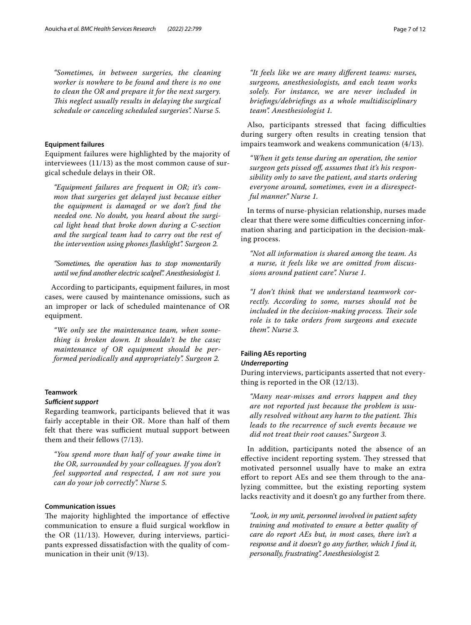*"Sometimes, in between surgeries, the cleaning worker is nowhere to be found and there is no one to clean the OR and prepare it for the next surgery. Tis neglect usually results in delaying the surgical schedule or canceling scheduled surgeries". Nurse 5.*

## **Equipment failures**

Equipment failures were highlighted by the majority of interviewees (11/13) as the most common cause of surgical schedule delays in their OR.

*"Equipment failures are frequent in OR; it's common that surgeries get delayed just because either the equipment is damaged or we don't fnd the needed one. No doubt, you heard about the surgical light head that broke down during a C-section and the surgical team had to carry out the rest of the intervention using phones fashlight". Surgeon 2.*

*"Sometimes, the operation has to stop momentarily until we fnd another electric scalpel". Anesthesiologist 1.*

According to participants, equipment failures, in most cases, were caused by maintenance omissions, such as an improper or lack of scheduled maintenance of OR equipment.

*"We only see the maintenance team, when something is broken down. It shouldn't be the case; maintenance of OR equipment should be performed periodically and appropriately". Surgeon 2.*

# **Teamwork**

#### **Sufficient support**

Regarding teamwork, participants believed that it was fairly acceptable in their OR. More than half of them felt that there was sufficient mutual support between them and their fellows (7/13).

*"You spend more than half of your awake time in the OR, surrounded by your colleagues. If you don't feel supported and respected, I am not sure you can do your job correctly". Nurse 5.*

#### **Communication issues**

The majority highlighted the importance of effective communication to ensure a fuid surgical workfow in the OR (11/13). However, during interviews, participants expressed dissatisfaction with the quality of communication in their unit (9/13).

*"It feels like we are many diferent teams: nurses, surgeons, anesthesiologists, and each team works solely. For instance, we are never included in briefngs/debriefngs as a whole multidisciplinary team". Anesthesiologist 1.*

Also, participants stressed that facing difficulties during surgery often results in creating tension that impairs teamwork and weakens communication (4/13).

*"When it gets tense during an operation, the senior surgeon gets pissed of, assumes that it's his responsibility only to save the patient, and starts ordering everyone around, sometimes, even in a disrespectful manner." Nurse 1.*

In terms of nurse-physician relationship, nurses made clear that there were some difficulties concerning information sharing and participation in the decision-making process.

*"Not all information is shared among the team. As a nurse, it feels like we are omitted from discussions around patient care". Nurse 1.*

*"I don't think that we understand teamwork correctly. According to some, nurses should not be*  included in the decision-making process. Their sole *role is to take orders from surgeons and execute them". Nurse 3.*

# **Failing AEs reporting** *Underreporting*

During interviews, participants asserted that not everything is reported in the OR (12/13).

*"Many near-misses and errors happen and they are not reported just because the problem is usually resolved without any harm to the patient. Tis leads to the recurrence of such events because we did not treat their root causes." Surgeon 3.*

In addition, participants noted the absence of an effective incident reporting system. They stressed that motivated personnel usually have to make an extra efort to report AEs and see them through to the analyzing committee, but the existing reporting system lacks reactivity and it doesn't go any further from there.

*"Look, in my unit, personnel involved in patient safety training and motivated to ensure a better quality of care do report AEs but, in most cases, there isn't a response and it doesn't go any further, which I fnd it, personally, frustrating". Anesthesiologist 2.*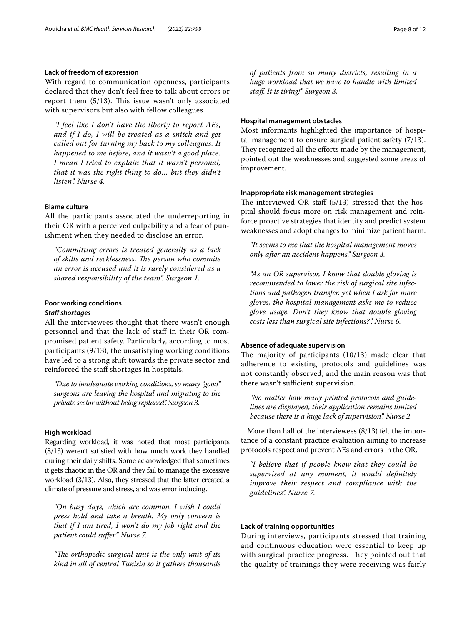# **Lack of freedom of expression**

With regard to communication openness, participants declared that they don't feel free to talk about errors or report them  $(5/13)$ . This issue wasn't only associated with supervisors but also with fellow colleagues.

*"I feel like I don't have the liberty to report AEs, and if I do, I will be treated as a snitch and get called out for turning my back to my colleagues. It happened to me before, and it wasn't a good place. I mean I tried to explain that it wasn't personal, that it was the right thing to do… but they didn't listen". Nurse 4.*

# **Blame culture**

All the participants associated the underreporting in their OR with a perceived culpability and a fear of punishment when they needed to disclose an error.

*"Committing errors is treated generally as a lack of skills and recklessness. Te person who commits an error is accused and it is rarely considered as a shared responsibility of the team". Surgeon 1.*

## **Poor working conditions**

#### **Staff shortages**

All the interviewees thought that there wasn't enough personnel and that the lack of staff in their OR compromised patient safety. Particularly, according to most participants (9/13), the unsatisfying working conditions have led to a strong shift towards the private sector and reinforced the staff shortages in hospitals.

*"Due to inadequate working conditions, so many "good" surgeons are leaving the hospital and migrating to the private sector without being replaced". Surgeon 3.*

#### **High workload**

Regarding workload, it was noted that most participants (8/13) weren't satisfed with how much work they handled during their daily shifts. Some acknowledged that sometimes it gets chaotic in the OR and they fail to manage the excessive workload (3/13). Also, they stressed that the latter created a climate of pressure and stress, and was error inducing.

*"On busy days, which are common, I wish I could press hold and take a breath. My only concern is that if I am tired, I won't do my job right and the patient could sufer". Nurse 7.*

"The orthopedic surgical unit is the only unit of its *kind in all of central Tunisia so it gathers thousands* 

*of patients from so many districts, resulting in a huge workload that we have to handle with limited staf. It is tiring!" Surgeon 3.*

#### **Hospital management obstacles**

Most informants highlighted the importance of hospital management to ensure surgical patient safety (7/13). They recognized all the efforts made by the management, pointed out the weaknesses and suggested some areas of improvement.

#### **Inappropriate risk management strategies**

The interviewed OR staff  $(5/13)$  stressed that the hospital should focus more on risk management and reinforce proactive strategies that identify and predict system weaknesses and adopt changes to minimize patient harm.

*"It seems to me that the hospital management moves only after an accident happens." Surgeon 3.*

*"As an OR supervisor, I know that double gloving is recommended to lower the risk of surgical site infections and pathogen transfer, yet when I ask for more gloves, the hospital management asks me to reduce glove usage. Don't they know that double gloving costs less than surgical site infections?". Nurse 6.*

#### **Absence of adequate supervision**

The majority of participants  $(10/13)$  made clear that adherence to existing protocols and guidelines was not constantly observed, and the main reason was that there wasn't sufficient supervision.

*"No matter how many printed protocols and guidelines are displayed, their application remains limited because there is a huge lack of supervision". Nurse 2*

More than half of the interviewees (8/13) felt the importance of a constant practice evaluation aiming to increase protocols respect and prevent AEs and errors in the OR.

*"I believe that if people knew that they could be supervised at any moment, it would defnitely improve their respect and compliance with the guidelines". Nurse 7.*

# **Lack of training opportunities**

During interviews, participants stressed that training and continuous education were essential to keep up with surgical practice progress. They pointed out that the quality of trainings they were receiving was fairly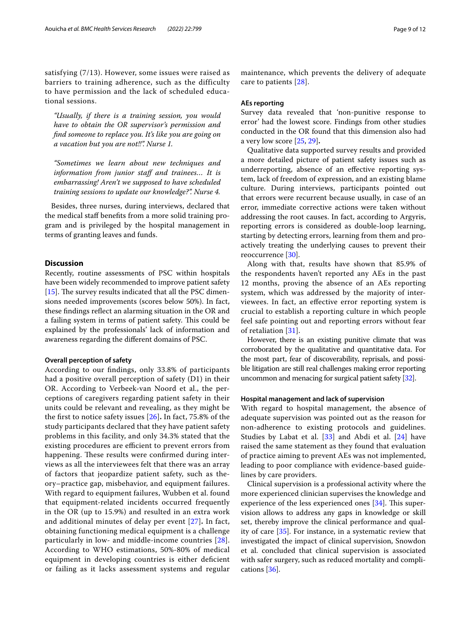satisfying (7/13). However, some issues were raised as barriers to training adherence, such as the difficulty to have permission and the lack of scheduled educational sessions.

*"Usually, if there is a training session, you would have to obtain the OR supervisor's permission and fnd someone to replace you. It's like you are going on a vacation but you are not!!". Nurse 1.*

*"Sometimes we learn about new techniques and*  information from junior staff and trainees... It is *embarrassing! Aren't we supposed to have scheduled training sessions to update our knowledge?". Nurse 4.*

Besides, three nurses, during interviews, declared that the medical staf benefts from a more solid training program and is privileged by the hospital management in terms of granting leaves and funds.

# **Discussion**

Recently, routine assessments of PSC within hospitals have been widely recommended to improve patient safety [[15\]](#page-10-13). The survey results indicated that all the PSC dimensions needed improvements (scores below 50%). In fact, these fndings refect an alarming situation in the OR and a failing system in terms of patient safety. This could be explained by the professionals' lack of information and awareness regarding the diferent domains of PSC.

#### **Overall perception of safety**

According to our fndings, only 33.8% of participants had a positive overall perception of safety (D1) in their OR. According to Verbeek-van Noord et al., the perceptions of caregivers regarding patient safety in their units could be relevant and revealing, as they might be the frst to notice safety issues [[26\]](#page-10-24)**.** In fact, 75.8% of the study participants declared that they have patient safety problems in this facility, and only 34.3% stated that the existing procedures are efficient to prevent errors from happening. These results were confirmed during interviews as all the interviewees felt that there was an array of factors that jeopardize patient safety, such as theory–practice gap, misbehavior, and equipment failures. With regard to equipment failures, Wubben et al. found that equipment-related incidents occurred frequently in the OR (up to 15.9%) and resulted in an extra work and additional minutes of delay per event [[27](#page-10-25)]**.** In fact, obtaining functioning medical equipment is a challenge particularly in low- and middle-income countries [[28\]](#page-10-26). According to WHO estimations, 50%-80% of medical equipment in developing countries is either defcient or failing as it lacks assessment systems and regular maintenance, which prevents the delivery of adequate care to patients [[28\]](#page-10-26).

#### **AEs reporting**

Survey data revealed that 'non-punitive response to error' had the lowest score. Findings from other studies conducted in the OR found that this dimension also had a very low score [\[25](#page-10-23), [29\]](#page-10-27)**.**

Qualitative data supported survey results and provided a more detailed picture of patient safety issues such as underreporting, absence of an efective reporting system, lack of freedom of expression, and an existing blame culture. During interviews, participants pointed out that errors were recurrent because usually, in case of an error, immediate corrective actions were taken without addressing the root causes. In fact, according to Argyris, reporting errors is considered as double-loop learning, starting by detecting errors, learning from them and proactively treating the underlying causes to prevent their reoccurrence [\[30](#page-10-28)].

Along with that, results have shown that 85.9% of the respondents haven't reported any AEs in the past 12 months, proving the absence of an AEs reporting system, which was addressed by the majority of interviewees. In fact, an efective error reporting system is crucial to establish a reporting culture in which people feel safe pointing out and reporting errors without fear of retaliation [\[31](#page-10-29)].

However, there is an existing punitive climate that was corroborated by the qualitative and quantitative data. For the most part, fear of discoverability, reprisals, and possible litigation are still real challenges making error reporting uncommon and menacing for surgical patient safety [\[32](#page-10-30)].

#### **Hospital management and lack of supervision**

With regard to hospital management, the absence of adequate supervision was pointed out as the reason for non-adherence to existing protocols and guidelines. Studies by Labat et al.  $[33]$  $[33]$  and Abdi et al.  $[24]$  $[24]$  have raised the same statement as they found that evaluation of practice aiming to prevent AEs was not implemented, leading to poor compliance with evidence-based guidelines by care providers.

Clinical supervision is a professional activity where the more experienced clinician supervises the knowledge and experience of the less experienced ones  $[34]$  $[34]$ . This supervision allows to address any gaps in knowledge or skill set, thereby improve the clinical performance and quality of care [[35\]](#page-10-33). For instance, in a systematic review that investigated the impact of clinical supervision, Snowdon et al. concluded that clinical supervision is associated with safer surgery, such as reduced mortality and complications [\[36](#page-10-34)].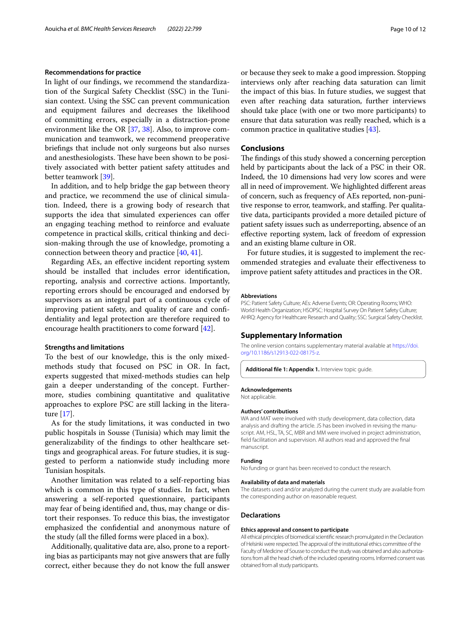#### **Recommendations for practice**

In light of our fndings, we recommend the standardization of the Surgical Safety Checklist (SSC) in the Tunisian context. Using the SSC can prevent communication and equipment failures and decreases the likelihood of committing errors, especially in a distraction-prone environment like the OR [[37,](#page-11-0) [38\]](#page-11-1). Also, to improve communication and teamwork, we recommend preoperative briefngs that include not only surgeons but also nurses and anesthesiologists. These have been shown to be positively associated with better patient safety attitudes and better teamwork [[39\]](#page-11-2).

In addition, and to help bridge the gap between theory and practice, we recommend the use of clinical simulation. Indeed, there is a growing body of research that supports the idea that simulated experiences can offer an engaging teaching method to reinforce and evaluate competence in practical skills, critical thinking and decision-making through the use of knowledge, promoting a connection between theory and practice [[40](#page-11-3), [41\]](#page-11-4).

Regarding AEs, an efective incident reporting system should be installed that includes error identifcation, reporting, analysis and corrective actions. Importantly, reporting errors should be encouraged and endorsed by supervisors as an integral part of a continuous cycle of improving patient safety, and quality of care and confdentiality and legal protection are therefore required to encourage health practitioners to come forward [[42\]](#page-11-5).

#### **Strengths and limitations**

To the best of our knowledge, this is the only mixedmethods study that focused on PSC in OR. In fact, experts suggested that mixed-methods studies can help gain a deeper understanding of the concept. Furthermore, studies combining quantitative and qualitative approaches to explore PSC are still lacking in the literature [[17\]](#page-10-15).

As for the study limitations, it was conducted in two public hospitals in Sousse (Tunisia) which may limit the generalizability of the fndings to other healthcare settings and geographical areas. For future studies, it is suggested to perform a nationwide study including more Tunisian hospitals.

Another limitation was related to a self-reporting bias which is common in this type of studies. In fact, when answering a self-reported questionnaire, participants may fear of being identifed and, thus, may change or distort their responses. To reduce this bias, the investigator emphasized the confdential and anonymous nature of the study (all the flled forms were placed in a box).

Additionally, qualitative data are, also, prone to a reporting bias as participants may not give answers that are fully correct, either because they do not know the full answer or because they seek to make a good impression. Stopping interviews only after reaching data saturation can limit the impact of this bias. In future studies, we suggest that even after reaching data saturation, further interviews should take place (with one or two more participants) to ensure that data saturation was really reached, which is a common practice in qualitative studies [\[43\]](#page-11-6).

#### **Conclusions**

The findings of this study showed a concerning perception held by participants about the lack of a PSC in their OR. Indeed, the 10 dimensions had very low scores and were all in need of improvement. We highlighted diferent areas of concern, such as frequency of AEs reported, non-punitive response to error, teamwork, and staffing. Per qualitative data, participants provided a more detailed picture of patient safety issues such as underreporting, absence of an efective reporting system, lack of freedom of expression and an existing blame culture in OR.

For future studies, it is suggested to implement the recommended strategies and evaluate their efectiveness to improve patient safety attitudes and practices in the OR.

#### **Abbreviations**

PSC: Patient Safety Culture; AEs: Adverse Events; OR: Operating Rooms; WHO: World Health Organization; HSOPSC: Hospital Survey On Patient Safety Culture; AHRQ: Agency for Healthcare Research and Quality; SSC: Surgical Safety Checklist.

## **Supplementary Information**

The online version contains supplementary material available at [https://doi.](https://doi.org/10.1186/s12913-022-08175-z) [org/10.1186/s12913-022-08175-z.](https://doi.org/10.1186/s12913-022-08175-z)

<span id="page-9-0"></span>Additional file 1: Appendix 1. Interview topic guide

#### **Acknowledgements**

Not applicable.

#### **Authors' contributions**

WA and MAT were involved with study development, data collection, data analysis and drafting the article. JS has been involved in revising the manuscript. AM, HSL, TA, SC, MBR and MM were involved in project administration, feld facilitation and supervision. All authors read and approved the fnal manuscript.

#### **Funding**

No funding or grant has been received to conduct the research.

#### **Availability of data and materials**

The datasets used and/or analyzed during the current study are available from the corresponding author on reasonable request.

#### **Declarations**

#### **Ethics approval and consent to participate**

All ethical principles of biomedical scientifc research promulgated in the Declaration of Helsinki were respected. The approval of the institutional ethics committee of the Faculty of Medicine of Sousse to conduct the study was obtained and also authorizations from all the head chiefs of the included operating rooms. Informed consent was obtained from all study participants.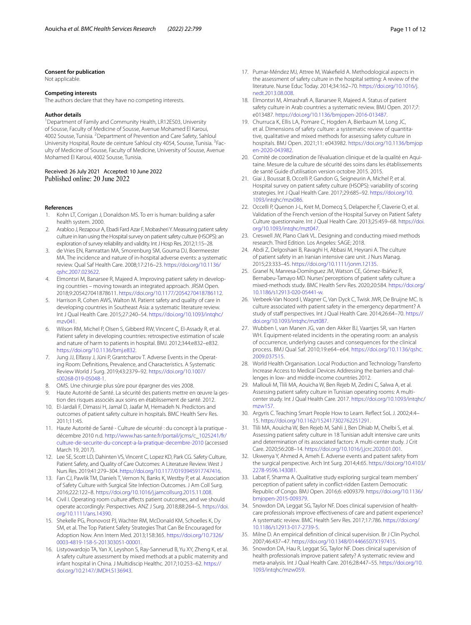#### **Consent for publication**

Not applicable.

#### **Competing interests**

The authors declare that they have no competing interests.

#### **Author details**

<sup>1</sup> Department of Family and Community Health, LR12ES03, University of Sousse, Faculty of Medicine of Sousse, Avenue Mohamed El Karoui, 4002 Sousse, Tunisia. <sup>2</sup> Department of Prevention and Care Safety, Sahloul University Hospital, Route de ceinture Sahloul city 4054, Sousse, Tunisia. <sup>3</sup>Faculty of Medicine of Sousse, Faculty of Medicine, University of Sousse, Avenue Mohamed El Karoui, 4002 Sousse, Tunisia.

#### Received: 26 July 2021 Accepted: 10 June 2022 Published online: 20 June 2022

#### **References**

- <span id="page-10-0"></span>1. Kohn LT, Corrigan J, Donaldson MS. To err is human: building a safer health system. 2000.
- <span id="page-10-1"></span>Arabloo J, Rezapour A, Ebadi Fard Azar F, Mobasheri Y. Measuring patient safety culture in Iran using the Hospital survey on patient safety culture (HSOPS): an exploration of survey reliability and validity. Int J Hosp Res. 2012;1:15–28.
- <span id="page-10-2"></span>3. de Vries EN, Ramrattan MA, Smorenburg SM, Gouma DJ, Boermeester MA. The incidence and nature of in-hospital adverse events: a systematic review. Qual Saf Health Care. 2008;17:216–23. [https://doi.org/10.1136/](https://doi.org/10.1136/qshc.2007.023622) [qshc.2007.023622](https://doi.org/10.1136/qshc.2007.023622).
- <span id="page-10-3"></span>4. Elmontsri M, Banarsee R, Majeed A. Improving patient safety in developing countries – moving towards an integrated approach. JRSM Open. 2018;9:205427041878611. [https://doi.org/10.1177/2054270418786112.](https://doi.org/10.1177/2054270418786112)
- <span id="page-10-4"></span>5. Harrison R, Cohen AWS, Walton M. Patient safety and quality of care in developing countries in Southeast Asia: a systematic literature review. Int J Qual Health Care. 2015;27:240–54. [https://doi.org/10.1093/intqhc/](https://doi.org/10.1093/intqhc/mzv041)  $m$ zv $041$
- <span id="page-10-5"></span>6. Wilson RM, Michel P, Olsen S, Gibberd RW, Vincent C, El-Assady R, et al. Patient safety in developing countries: retrospective estimation of scale and nature of harm to patients in hospital. BMJ. 2012;344:e832–e832. <https://doi.org/10.1136/bmj.e832>.
- <span id="page-10-6"></span>7. Jung JJ, Elfassy J, Jüni P, Grantcharov T. Adverse Events in the Operating Room: Defnitions, Prevalence, and Characteristics. A Systematic Review World J Surg. 2019;43:2379–92. [https://doi.org/10.1007/](https://doi.org/10.1007/s00268-019-05048-1) [s00268-019-05048-1](https://doi.org/10.1007/s00268-019-05048-1).
- <span id="page-10-7"></span>8. OMS. Une chirurgie plus sûre pour épargner des vies 2008.
- <span id="page-10-8"></span>9. Haute Autorité de Santé. La sécurité des patients mettre en œuvre la gestion des risques associés aux soins en établissement de santé. 2012.
- <span id="page-10-9"></span>10. El-Jardali F, Dimassi H, Jamal D, Jaafar M, Hemadeh N. Predictors and outcomes of patient safety culture in hospitals. BMC Health Serv Res. 2011;11:45.
- <span id="page-10-10"></span>11. Haute Autorité de Santé - Culture de sécurité : du concept à la pratique décembre 2010 n.d. [http://www.has-sante.fr/portail/jcms/c\\_1025241/fr/](http://www.has-sante.fr/portail/jcms/c_1025241/fr/culture-de-securite-du-concept-a-la-pratique-decembre-2010) [culture-de-securite-du-concept-a-la-pratique-decembre-2010](http://www.has-sante.fr/portail/jcms/c_1025241/fr/culture-de-securite-du-concept-a-la-pratique-decembre-2010) (accessed March 19, 2017).
- <span id="page-10-11"></span>12. Lee SE, Scott LD, Dahinten VS, Vincent C, Lopez KD, Park CG. Safety Culture, Patient Safety, and Quality of Care Outcomes: A Literature Review. West J Nurs Res. 2019;41:279–304. [https://doi.org/10.1177/0193945917747416.](https://doi.org/10.1177/0193945917747416)
- 13. Fan CJ, Pawlik TM, Daniels T, Vernon N, Banks K, Westby P, et al. Association of Safety Culture with Surgical Site Infection Outcomes. J Am Coll Surg. 2016;222:122–8.<https://doi.org/10.1016/j.jamcollsurg.2015.11.008>.
- <span id="page-10-12"></span>14. Civil I. Operating room culture afects patient outcomes, and we should operate accordingly: Perspectives. ANZ J Surg. 2018;88:264–5. [https://doi.](https://doi.org/10.1111/ans.14390) [org/10.1111/ans.14390](https://doi.org/10.1111/ans.14390).
- <span id="page-10-13"></span>15. Shekelle PG, Pronovost PJ, Wachter RM, McDonald KM, Schoelles K, Dy SM, et al. The Top Patient Safety Strategies That Can Be Encouraged for Adoption Now. Ann Intern Med. 2013;158:365. [https://doi.org/10.7326/](https://doi.org/10.7326/0003-4819-158-5-201303051-00001) [0003-4819-158-5-201303051-00001](https://doi.org/10.7326/0003-4819-158-5-201303051-00001).
- <span id="page-10-14"></span>16. Listyowardojo TA, Yan X, Leyshon S, Ray-Sannerud B, Yu XY, Zheng K, et al. A safety culture assessment by mixed methods at a public maternity and infant hospital in China. J Multidiscip Healthc. 2017;10:253–62. [https://](https://doi.org/10.2147/JMDH.S136943) [doi.org/10.2147/JMDH.S136943](https://doi.org/10.2147/JMDH.S136943).
- <span id="page-10-15"></span>17. Pumar-Méndez MJ, Attree M, Wakefeld A. Methodological aspects in the assessment of safety culture in the hospital setting: A review of the literature. Nurse Educ Today. 2014;34:162–70. [https://doi.org/10.1016/j.](https://doi.org/10.1016/j.nedt.2013.08.008) [nedt.2013.08.008.](https://doi.org/10.1016/j.nedt.2013.08.008)
- <span id="page-10-16"></span>18. Elmontsri M, Almashraf A, Banarsee R, Majeed A. Status of patient safety culture in Arab countries: a systematic review. BMJ Open. 2017;7: e013487. [https://doi.org/10.1136/bmjopen-2016-013487.](https://doi.org/10.1136/bmjopen-2016-013487)
- <span id="page-10-17"></span>19. Churruca K, Ellis LA, Pomare C, Hogden A, Bierbaum M, Long JC, et al. Dimensions of safety culture: a systematic review of quantitative, qualitative and mixed methods for assessing safety culture in hospitals. BMJ Open. 2021;11: e043982. [https://doi.org/10.1136/bmjop](https://doi.org/10.1136/bmjopen-2020-043982) [en-2020-043982.](https://doi.org/10.1136/bmjopen-2020-043982)
- <span id="page-10-18"></span>20. Comité de coordination de l'évaluation clinique et de la qualité en Aquitaine. Mesure de la culture de sécurité des soins dans les établissements de santé Guide d'utilisation version octobre 2015. 2015.
- <span id="page-10-19"></span>21. Giai J, Boussat B, Occelli P, Gandon G, Seigneurin A, Michel P, et al. Hospital survey on patient safety culture (HSOPS): variability of scoring strategies. Int J Qual Health Care. 2017;29:685–92. [https://doi.org/10.](https://doi.org/10.1093/intqhc/mzx086) [1093/intqhc/mzx086](https://doi.org/10.1093/intqhc/mzx086).
- <span id="page-10-20"></span>22. Occelli P, Quenon J-L, Kret M, Domecq S, Delaperche F, Claverie O, et al. Validation of the French version of the Hospital Survey on Patient Safety Culture questionnaire. Int J Qual Health Care. 2013;25:459–68. [https://doi.](https://doi.org/10.1093/intqhc/mzt047) [org/10.1093/intqhc/mzt047.](https://doi.org/10.1093/intqhc/mzt047)
- <span id="page-10-21"></span>23. Creswell JW, Plano Clark VL. Designing and conducting mixed methods research. Third Edition. Los Angeles: SAGE; 2018.
- <span id="page-10-22"></span>24. Abdi Z, Delgoshaei B, Ravaghi H, Abbasi M, Heyrani A. The culture of patient safety in an Iranian intensive care unit. J Nurs Manag. 2015;23:333–45. [https://doi.org/10.1111/jonm.12135.](https://doi.org/10.1111/jonm.12135)
- <span id="page-10-23"></span>25. Granel N, Manresa-Domínguez JM, Watson CE, Gómez-Ibáñez R, Bernabeu-Tamayo MD. Nurses' perceptions of patient safety culture: a mixed-methods study. BMC Health Serv Res. 2020;20:584. [https://doi.org/](https://doi.org/10.1186/s12913-020-05441-w) [10.1186/s12913-020-05441-w.](https://doi.org/10.1186/s12913-020-05441-w)
- <span id="page-10-24"></span>26. Verbeek-Van Noord I, Wagner C, Van Dyck C, Twisk JWR, De Bruijne MC. Is culture associated with patient safety in the emergency department? A study of staff perspectives. Int J Qual Health Care. 2014;26:64-70. [https://](https://doi.org/10.1093/intqhc/mzt087) [doi.org/10.1093/intqhc/mzt087.](https://doi.org/10.1093/intqhc/mzt087)
- <span id="page-10-25"></span>27. Wubben I, van Manen JG, van den Akker BJ, Vaartjes SR, van Harten WH. Equipment-related incidents in the operating room: an analysis of occurrence, underlying causes and consequences for the clinical process. BMJ Qual Saf. 2010;19:e64–e64. [https://doi.org/10.1136/qshc.](https://doi.org/10.1136/qshc.2009.037515) [2009.037515.](https://doi.org/10.1136/qshc.2009.037515)
- <span id="page-10-26"></span>28. World Health Organisation. Local Production and Technology Transferto Increase Access to Medical Devices Addressing the barriers and challenges in low- and middle-income countries 2012.
- <span id="page-10-27"></span>29. Mallouli M, Tlili MA, Aouicha W, Ben Rejeb M, Zedini C, Salwa A, et al. Assessing patient safety culture in Tunisian operating rooms: A multicenter study. Int J Qual Health Care. 2017. [https://doi.org/10.1093/intqhc/](https://doi.org/10.1093/intqhc/mzw157) [mzw157.](https://doi.org/10.1093/intqhc/mzw157)
- <span id="page-10-28"></span>30. Argyris C. Teaching Smart People How to Learn. Refect SoL J. 2002;4:4– 15. [https://doi.org/10.1162/152417302762251291.](https://doi.org/10.1162/152417302762251291)
- <span id="page-10-29"></span>31. Tlili MA, Aouicha W, Ben Rejeb M, Sahli J, Ben Dhiab M, Chelbi S, et al. Assessing patient safety culture in 18 Tunisian adult intensive care units and determination of its associated factors: A multi-center study. J Crit Care. 2020;56:208–14. <https://doi.org/10.1016/j.jcrc.2020.01.001>.
- <span id="page-10-30"></span>32. Ukwenya Y, Ahmed A, Ameh E. Adverse events and patient safety from the surgical perspective. Arch Int Surg. 2014;4:65. [https://doi.org/10.4103/](https://doi.org/10.4103/2278-9596.143081) [2278-9596.143081.](https://doi.org/10.4103/2278-9596.143081)
- <span id="page-10-31"></span>33. Labat F, Sharma A. Qualitative study exploring surgical team members' perception of patient safety in confict-ridden Eastern Democratic Republic of Congo. BMJ Open. 2016;6: e009379. [https://doi.org/10.1136/](https://doi.org/10.1136/bmjopen-2015-009379) [bmjopen-2015-009379](https://doi.org/10.1136/bmjopen-2015-009379).
- <span id="page-10-32"></span>34. Snowdon DA, Leggat SG, Taylor NF. Does clinical supervision of healthcare professionals improve efectiveness of care and patient experience? A systematic review. BMC Health Serv Res. 2017;17:786. [https://doi.org/](https://doi.org/10.1186/s12913-017-2739-5) [10.1186/s12913-017-2739-5.](https://doi.org/10.1186/s12913-017-2739-5)
- <span id="page-10-33"></span>35. Milne D. An empirical defnition of clinical supervision. Br J Clin Psychol. 2007;46:437–47.<https://doi.org/10.1348/014466507X197415>.
- <span id="page-10-34"></span>36. Snowdon DA, Hau R, Leggat SG, Taylor NF. Does clinical supervision of health professionals improve patient safety? A systematic review and meta-analysis. Int J Qual Health Care. 2016;28:447–55. [https://doi.org/10.](https://doi.org/10.1093/intqhc/mzw059) [1093/intqhc/mzw059.](https://doi.org/10.1093/intqhc/mzw059)